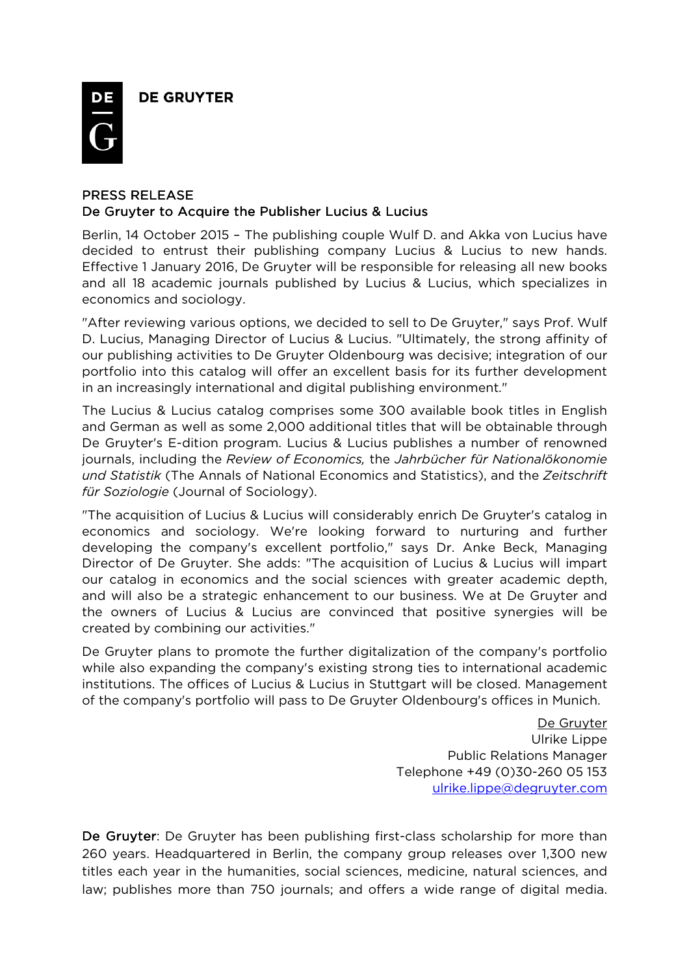**DE GRUYTER** 



## PRESS RELEASE De Gruyter to Acquire the Publisher Lucius & Lucius

Berlin, 14 October 2015 – The publishing couple Wulf D. and Akka von Lucius have decided to entrust their publishing company Lucius & Lucius to new hands. Effective 1 January 2016, De Gruyter will be responsible for releasing all new books and all 18 academic journals published by Lucius & Lucius, which specializes in economics and sociology.

"After reviewing various options, we decided to sell to De Gruyter," says Prof. Wulf D. Lucius, Managing Director of Lucius & Lucius. "Ultimately, the strong affinity of our publishing activities to De Gruyter Oldenbourg was decisive; integration of our portfolio into this catalog will offer an excellent basis for its further development in an increasingly international and digital publishing environment."

The Lucius & Lucius catalog comprises some 300 available book titles in English and German as well as some 2,000 additional titles that will be obtainable through De Gruyter's E-dition program. Lucius & Lucius publishes a number of renowned journals, including the *Review of Economics,* the *Jahrbücher für Nationalökonomie und Statistik* (The Annals of National Economics and Statistics), and the *Zeitschrift für Soziologie* (Journal of Sociology).

"The acquisition of Lucius & Lucius will considerably enrich De Gruyter's catalog in economics and sociology. We're looking forward to nurturing and further developing the company's excellent portfolio," says Dr. Anke Beck, Managing Director of De Gruyter. She adds: "The acquisition of Lucius & Lucius will impart our catalog in economics and the social sciences with greater academic depth, and will also be a strategic enhancement to our business. We at De Gruyter and the owners of Lucius & Lucius are convinced that positive synergies will be created by combining our activities."

De Gruyter plans to promote the further digitalization of the company's portfolio while also expanding the company's existing strong ties to international academic institutions. The offices of Lucius & Lucius in Stuttgart will be closed. Management of the company's portfolio will pass to De Gruyter Oldenbourg's offices in Munich.

> De Gruyter Ulrike Lippe Public Relations Manager Telephone +49 (0)30-260 05 153 ulrike.lippe@degruyter.com

De Gruyter: De Gruyter has been publishing first-class scholarship for more than 260 years. Headquartered in Berlin, the company group releases over 1,300 new titles each year in the humanities, social sciences, medicine, natural sciences, and law; publishes more than 750 journals; and offers a wide range of digital media.